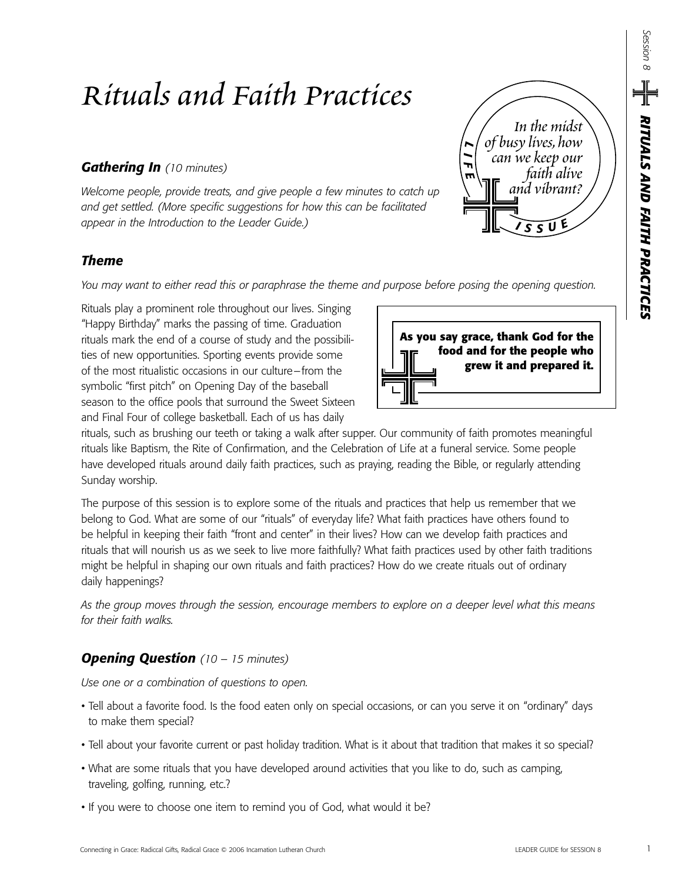# *Rituals and Faith Practices*

## *Gathering In (10 minutes)*

*Welcome people, provide treats, and give people a few minutes to catch up and get settled. (More specific suggestions for how this can be facilitated appear in the Introduction to the Leader Guide.)*

## *Theme*

*You may want to either read this or paraphrase the theme and purpose before posing the opening question.*

Rituals play a prominent role throughout our lives. Singing "Happy Birthday" marks the passing of time. Graduation rituals mark the end of a course of study and the possibilities of new opportunities. Sporting events provide some of the most ritualistic occasions in our culture–from the symbolic "first pitch" on Opening Day of the baseball season to the office pools that surround the Sweet Sixteen and Final Four of college basketball. Each of us has daily



*<sup>I</sup> <sup>S</sup> <sup>S</sup> <sup>U</sup> E*

*and vibrant?* 

*can we keep our faith alive* 

*In the midst of busy lives,how* 

*L I F E*

rituals, such as brushing our teeth or taking a walk after supper. Our community of faith promotes meaningful rituals like Baptism, the Rite of Confirmation, and the Celebration of Life at a funeral service. Some people have developed rituals around daily faith practices, such as praying, reading the Bible, or regularly attending Sunday worship.

The purpose of this session is to explore some of the rituals and practices that help us remember that we belong to God. What are some of our "rituals" of everyday life? What faith practices have others found to be helpful in keeping their faith "front and center" in their lives? How can we develop faith practices and rituals that will nourish us as we seek to live more faithfully? What faith practices used by other faith traditions might be helpful in shaping our own rituals and faith practices? How do we create rituals out of ordinary daily happenings?

*As the group moves through the session, encourage members to explore on a deeper level what this means for their faith walks.*

## *Opening Question (10 – 15 minutes)*

*Use one or a combination of questions to open.*

- Tell about a favorite food. Is the food eaten only on special occasions, or can you serve it on "ordinary" days to make them special?
- Tell about your favorite current or past holiday tradition. What is it about that tradition that makes it so special?
- What are some rituals that you have developed around activities that you like to do, such as camping, traveling, golfing, running, etc.?
- If you were to choose one item to remind you of God, what would it be?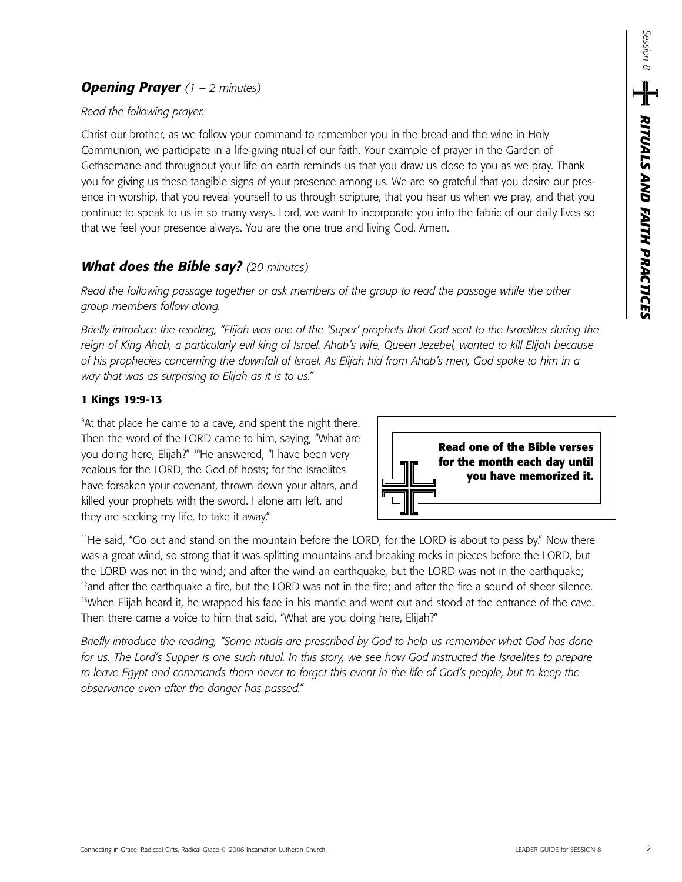## *Opening Prayer (1 – 2 minutes)*

### *Read the following prayer.*

Christ our brother, as we follow your command to remember you in the bread and the wine in Holy Communion, we participate in a life-giving ritual of our faith. Your example of prayer in the Garden of Gethsemane and throughout your life on earth reminds us that you draw us close to you as we pray. Thank you for giving us these tangible signs of your presence among us. We are so grateful that you desire our presence in worship, that you reveal yourself to us through scripture, that you hear us when we pray, and that you continue to speak to us in so many ways. Lord, we want to incorporate you into the fabric of our daily lives so that we feel your presence always. You are the one true and living God. Amen.

## *What does the Bible say? (20 minutes)*

*Read the following passage together or ask members of the group to read the passage while the other group members follow along.* 

*Briefly introduce the reading, "Elijah was one of the 'Super' prophets that God sent to the Israelites during the reign of King Ahab, a particularly evil king of Israel. Ahab's wife, Queen Jezebel, wanted to kill Elijah because of his prophecies concerning the downfall of Israel. As Elijah hid from Ahab's men, God spoke to him in a way that was as surprising to Elijah as it is to us."*

## **1 Kings 19:9-13**

9 At that place he came to a cave, and spent the night there. Then the word of the LORD came to him, saying, "What are you doing here, Elijah?" <sup>10</sup>He answered, "I have been very zealous for the LORD, the God of hosts; for the Israelites have forsaken your covenant, thrown down your altars, and killed your prophets with the sword. I alone am left, and they are seeking my life, to take it away."



11He said, "Go out and stand on the mountain before the LORD, for the LORD is about to pass by." Now there was a great wind, so strong that it was splitting mountains and breaking rocks in pieces before the LORD, but the LORD was not in the wind; and after the wind an earthquake, but the LORD was not in the earthquake;  $12$ and after the earthquake a fire, but the LORD was not in the fire; and after the fire a sound of sheer silence. <sup>13</sup>When Elijah heard it, he wrapped his face in his mantle and went out and stood at the entrance of the cave. Then there came a voice to him that said, "What are you doing here, Elijah?"

*Briefly introduce the reading, "Some rituals are prescribed by God to help us remember what God has done for us. The Lord's Supper is one such ritual. In this story, we see how God instructed the Israelites to prepare to leave Egypt and commands them never to forget this event in the life of God's people, but to keep the observance even after the danger has passed."*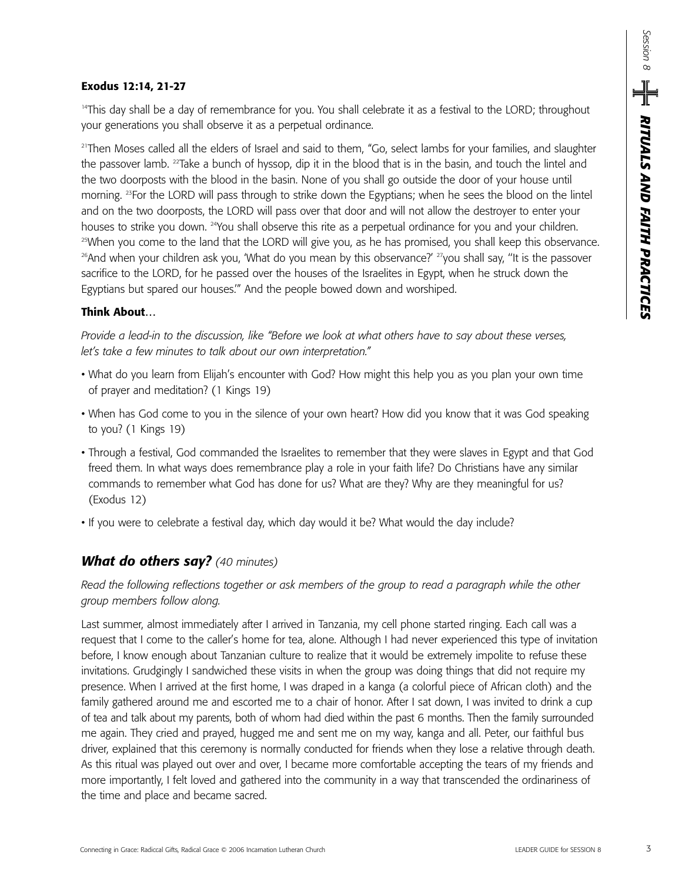#### **Exodus 12:14, 21-27**

<sup>14</sup>This day shall be a day of remembrance for you. You shall celebrate it as a festival to the LORD; throughout your generations you shall observe it as a perpetual ordinance.

<sup>21</sup>Then Moses called all the elders of Israel and said to them, "Go, select lambs for your families, and slaughter the passover lamb. 22Take a bunch of hyssop, dip it in the blood that is in the basin, and touch the lintel and the two doorposts with the blood in the basin. None of you shall go outside the door of your house until morning. 23For the LORD will pass through to strike down the Egyptians; when he sees the blood on the lintel and on the two doorposts, the LORD will pass over that door and will not allow the destroyer to enter your houses to strike you down. <sup>24</sup>You shall observe this rite as a perpetual ordinance for you and your children. <sup>25</sup>When you come to the land that the LORD will give you, as he has promised, you shall keep this observance. <sup>26</sup>And when your children ask you, 'What do you mean by this observance?' <sup>27</sup>you shall say, "It is the passover sacrifice to the LORD, for he passed over the houses of the Israelites in Egypt, when he struck down the Egyptians but spared our houses.'" And the people bowed down and worshiped.

## **Think About…**

*Provide a lead-in to the discussion, like "Before we look at what others have to say about these verses, let's take a few minutes to talk about our own interpretation."* 

- What do you learn from Elijah's encounter with God? How might this help you as you plan your own time of prayer and meditation? (1 Kings 19)
- When has God come to you in the silence of your own heart? How did you know that it was God speaking to you? (1 Kings 19)
- Through a festival, God commanded the Israelites to remember that they were slaves in Egypt and that God freed them. In what ways does remembrance play a role in your faith life? Do Christians have any similar commands to remember what God has done for us? What are they? Why are they meaningful for us? (Exodus 12)
- If you were to celebrate a festival day, which day would it be? What would the day include?

## *What do others say? (40 minutes)*

## *Read the following reflections together or ask members of the group to read a paragraph while the other group members follow along.*

Last summer, almost immediately after I arrived in Tanzania, my cell phone started ringing. Each call was a request that I come to the caller's home for tea, alone. Although I had never experienced this type of invitation before, I know enough about Tanzanian culture to realize that it would be extremely impolite to refuse these invitations. Grudgingly I sandwiched these visits in when the group was doing things that did not require my presence. When I arrived at the first home, I was draped in a kanga (a colorful piece of African cloth) and the family gathered around me and escorted me to a chair of honor. After I sat down, I was invited to drink a cup of tea and talk about my parents, both of whom had died within the past 6 months. Then the family surrounded me again. They cried and prayed, hugged me and sent me on my way, kanga and all. Peter, our faithful bus driver, explained that this ceremony is normally conducted for friends when they lose a relative through death. As this ritual was played out over and over, I became more comfortable accepting the tears of my friends and more importantly, I felt loved and gathered into the community in a way that transcended the ordinariness of the time and place and became sacred.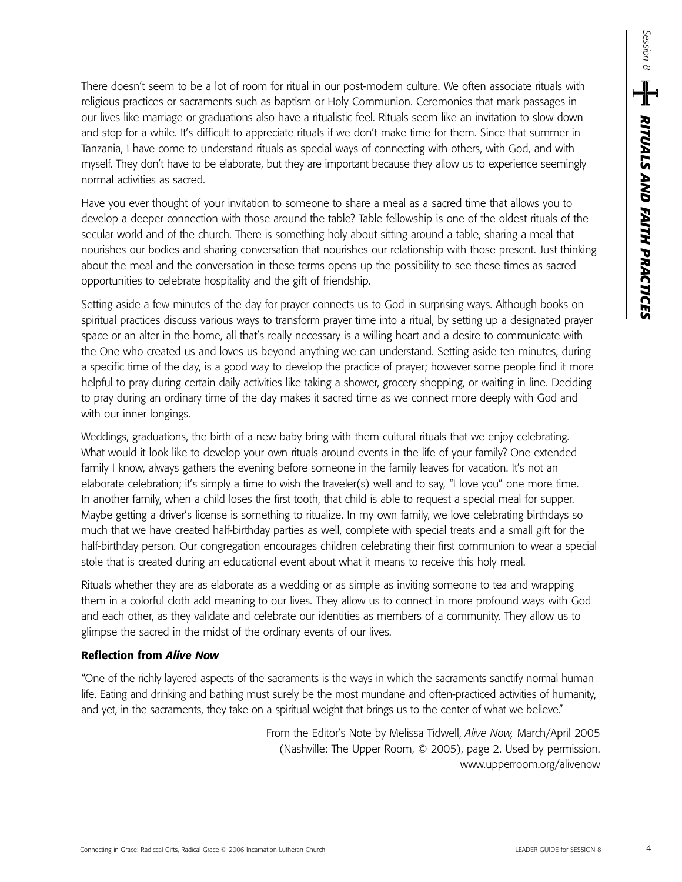There doesn't seem to be a lot of room for ritual in our post-modern culture. We often associate rituals with religious practices or sacraments such as baptism or Holy Communion. Ceremonies that mark passages in our lives like marriage or graduations also have a ritualistic feel. Rituals seem like an invitation to slow down and stop for a while. It's difficult to appreciate rituals if we don't make time for them. Since that summer in Tanzania, I have come to understand rituals as special ways of connecting with others, with God, and with myself. They don't have to be elaborate, but they are important because they allow us to experience seemingly normal activities as sacred.

Have you ever thought of your invitation to someone to share a meal as a sacred time that allows you to develop a deeper connection with those around the table? Table fellowship is one of the oldest rituals of the secular world and of the church. There is something holy about sitting around a table, sharing a meal that nourishes our bodies and sharing conversation that nourishes our relationship with those present. Just thinking about the meal and the conversation in these terms opens up the possibility to see these times as sacred opportunities to celebrate hospitality and the gift of friendship.

Setting aside a few minutes of the day for prayer connects us to God in surprising ways. Although books on spiritual practices discuss various ways to transform prayer time into a ritual, by setting up a designated prayer space or an alter in the home, all that's really necessary is a willing heart and a desire to communicate with the One who created us and loves us beyond anything we can understand. Setting aside ten minutes, during a specific time of the day, is a good way to develop the practice of prayer; however some people find it more helpful to pray during certain daily activities like taking a shower, grocery shopping, or waiting in line. Deciding to pray during an ordinary time of the day makes it sacred time as we connect more deeply with God and with our inner longings.

Weddings, graduations, the birth of a new baby bring with them cultural rituals that we enjoy celebrating. What would it look like to develop your own rituals around events in the life of your family? One extended family I know, always gathers the evening before someone in the family leaves for vacation. It's not an elaborate celebration; it's simply a time to wish the traveler(s) well and to say, "I love you" one more time. In another family, when a child loses the first tooth, that child is able to request a special meal for supper. Maybe getting a driver's license is something to ritualize. In my own family, we love celebrating birthdays so much that we have created half-birthday parties as well, complete with special treats and a small gift for the half-birthday person. Our congregation encourages children celebrating their first communion to wear a special stole that is created during an educational event about what it means to receive this holy meal.

Rituals whether they are as elaborate as a wedding or as simple as inviting someone to tea and wrapping them in a colorful cloth add meaning to our lives. They allow us to connect in more profound ways with God and each other, as they validate and celebrate our identities as members of a community. They allow us to glimpse the sacred in the midst of the ordinary events of our lives.

#### **Reflection from** *Alive Now*

"One of the richly layered aspects of the sacraments is the ways in which the sacraments sanctify normal human life. Eating and drinking and bathing must surely be the most mundane and often-practiced activities of humanity, and yet, in the sacraments, they take on a spiritual weight that brings us to the center of what we believe."

> From the Editor's Note by Melissa Tidwell, *Alive Now,* March/April 2005 (Nashville: The Upper Room, © 2005), page 2. Used by permission. www.upperroom.org/alivenow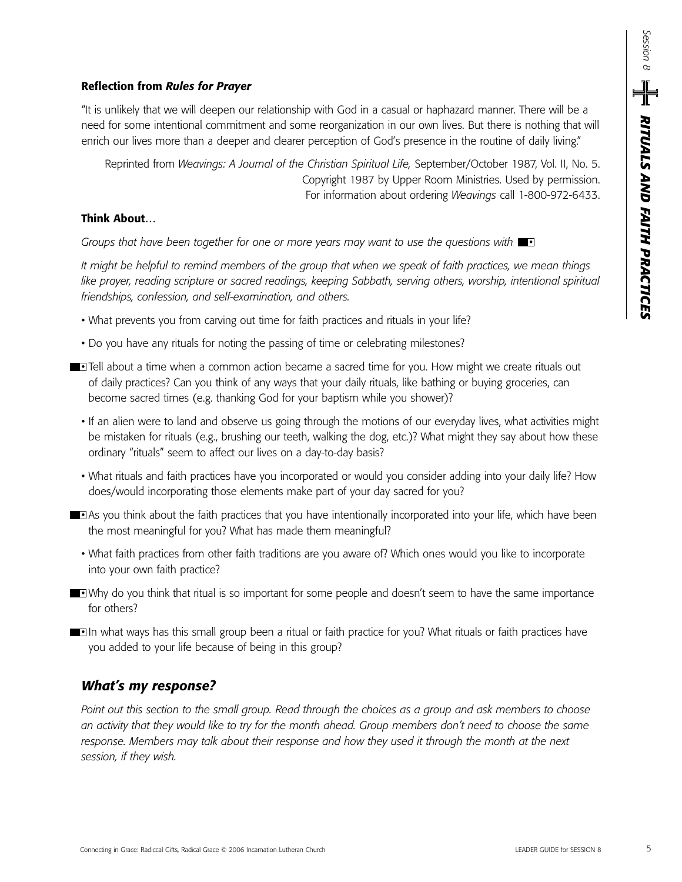## **Reflection from** *Rules for Prayer*

"It is unlikely that we will deepen our relationship with God in a casual or haphazard manner. There will be a need for some intentional commitment and some reorganization in our own lives. But there is nothing that will enrich our lives more than a deeper and clearer perception of God's presence in the routine of daily living."

Reprinted from *Weavings: A Journal of the Christian Spiritual Life,* September/October 1987, Vol. II, No. 5. Copyright 1987 by Upper Room Ministries. Used by permission. For information about ordering *Weavings* call 1-800-972-6433.

### **Think About…**

*Groups that have been together for one or more years may want to use the questions with*  $\blacksquare$ 

*It might be helpful to remind members of the group that when we speak of faith practices, we mean things like prayer, reading scripture or sacred readings, keeping Sabbath, serving others, worship, intentional spiritual friendships, confession, and self-examination, and others.*

- What prevents you from carving out time for faith practices and rituals in your life?
- Do you have any rituals for noting the passing of time or celebrating milestones?
- **Tell about a time when a common action became a sacred time for you. How might we create rituals out** of daily practices? Can you think of any ways that your daily rituals, like bathing or buying groceries, can become sacred times (e.g. thanking God for your baptism while you shower)?
	- If an alien were to land and observe us going through the motions of our everyday lives, what activities might be mistaken for rituals (e.g., brushing our teeth, walking the dog, etc.)? What might they say about how these ordinary "rituals" seem to affect our lives on a day-to-day basis?
	- What rituals and faith practices have you incorporated or would you consider adding into your daily life? How does/would incorporating those elements make part of your day sacred for you?
- **As you think about the faith practices that you have intentionally incorporated into your life, which have been** the most meaningful for you? What has made them meaningful?
	- What faith practices from other faith traditions are you aware of? Which ones would you like to incorporate into your own faith practice?
- Why do you think that ritual is so important for some people and doesn't seem to have the same importance for others?
- **In what ways has this small group been a ritual or faith practice for you? What rituals or faith practices have** you added to your life because of being in this group?

## *What's my response?*

*Point out this section to the small group. Read through the choices as a group and ask members to choose an activity that they would like to try for the month ahead. Group members don't need to choose the same response. Members may talk about their response and how they used it through the month at the next session, if they wish.*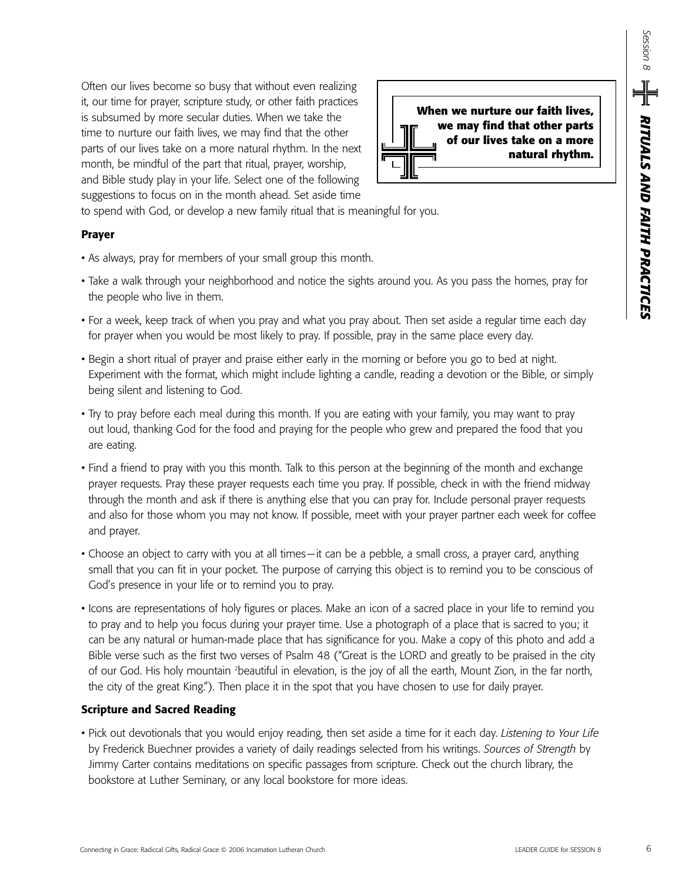Often our lives become so busy that without even realizing it, our time for prayer, scripture study, or other faith practices is subsumed by more secular duties. When we take the time to nurture our faith lives, we may find that the other parts of our lives take on a more natural rhythm. In the next month, be mindful of the part that ritual, prayer, worship, and Bible study play in your life. Select one of the following suggestions to focus on in the month ahead. Set aside time



to spend with God, or develop a new family ritual that is meaningful for you.

#### **Prayer**

- As always, pray for members of your small group this month.
- Take a walk through your neighborhood and notice the sights around you. As you pass the homes, pray for the people who live in them.
- For a week, keep track of when you pray and what you pray about. Then set aside a regular time each day for prayer when you would be most likely to pray. If possible, pray in the same place every day.
- Begin a short ritual of prayer and praise either early in the morning or before you go to bed at night. Experiment with the format, which might include lighting a candle, reading a devotion or the Bible, or simply being silent and listening to God.
- Try to pray before each meal during this month. If you are eating with your family, you may want to pray out loud, thanking God for the food and praying for the people who grew and prepared the food that you are eating.
- Find a friend to pray with you this month. Talk to this person at the beginning of the month and exchange prayer requests. Pray these prayer requests each time you pray. If possible, check in with the friend midway through the month and ask if there is anything else that you can pray for. Include personal prayer requests and also for those whom you may not know. If possible, meet with your prayer partner each week for coffee and prayer.
- Choose an object to carry with you at all times—it can be a pebble, a small cross, a prayer card, anything small that you can fit in your pocket. The purpose of carrying this object is to remind you to be conscious of God's presence in your life or to remind you to pray.
- Icons are representations of holy figures or places. Make an icon of a sacred place in your life to remind you to pray and to help you focus during your prayer time. Use a photograph of a place that is sacred to you; it can be any natural or human-made place that has significance for you. Make a copy of this photo and add a Bible verse such as the first two verses of Psalm 48 ("Great is the LORD and greatly to be praised in the city of our God. His holy mountain <sup>2</sup>beautiful in elevation, is the joy of all the earth, Mount Zion, in the far north, the city of the great King."). Then place it in the spot that you have chosen to use for daily prayer. Connection by the spectra of the spectral material spectral materials<br>
Restricted For the state state of the filth spectral Gifts ( $\frac{1}{2}$  and the state of the state of the state of the state of the state of the state o

#### **Scripture and Sacred Reading**

• Pick out devotionals that you would enjoy reading, then set aside a time for it each day. *Listening to Your Life* by Frederick Buechner provides a variety of daily readings selected from his writings. *Sources of Strength* by Jimmy Carter contains meditations on specific passages from scripture. Check out the church library, the bookstore at Luther Seminary, or any local bookstore for more ideas.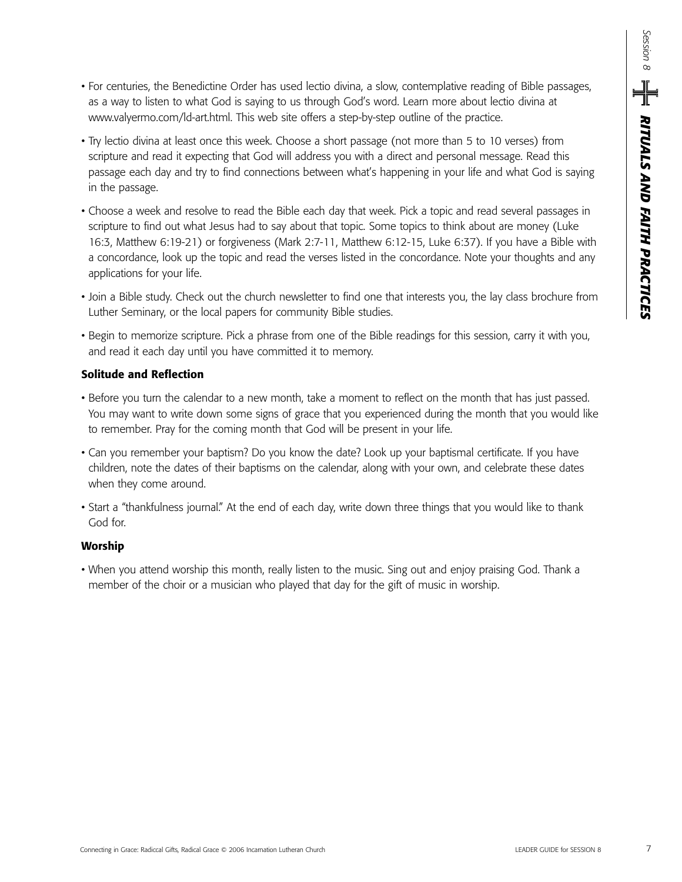- For centuries, the Benedictine Order has used lectio divina, a slow, contemplative reading of Bible passages, as a way to listen to what God is saying to us through God's word. Learn more about lectio divina at www.valyermo.com/ld-art.html. This web site offers a step-by-step outline of the practice.
- Try lectio divina at least once this week. Choose a short passage (not more than 5 to 10 verses) from scripture and read it expecting that God will address you with a direct and personal message. Read this passage each day and try to find connections between what's happening in your life and what God is saying in the passage.
- Choose a week and resolve to read the Bible each day that week. Pick a topic and read several passages in scripture to find out what Jesus had to say about that topic. Some topics to think about are money (Luke 16:3, Matthew 6:19-21) or forgiveness (Mark 2:7-11, Matthew 6:12-15, Luke 6:37). If you have a Bible with a concordance, look up the topic and read the verses listed in the concordance. Note your thoughts and any applications for your life.
- Join a Bible study. Check out the church newsletter to find one that interests you, the lay class brochure from Luther Seminary, or the local papers for community Bible studies.
- Begin to memorize scripture. Pick a phrase from one of the Bible readings for this session, carry it with you, and read it each day until you have committed it to memory.

## **Solitude and Reflection**

- Before you turn the calendar to a new month, take a moment to reflect on the month that has just passed. You may want to write down some signs of grace that you experienced during the month that you would like to remember. Pray for the coming month that God will be present in your life.
- Can you remember your baptism? Do you know the date? Look up your baptismal certificate. If you have children, note the dates of their baptisms on the calendar, along with your own, and celebrate these dates when they come around.
- Start a "thankfulness journal." At the end of each day, write down three things that you would like to thank God for.

#### **Worship**

• When you attend worship this month, really listen to the music. Sing out and enjoy praising God. Thank a member of the choir or a musician who played that day for the gift of music in worship.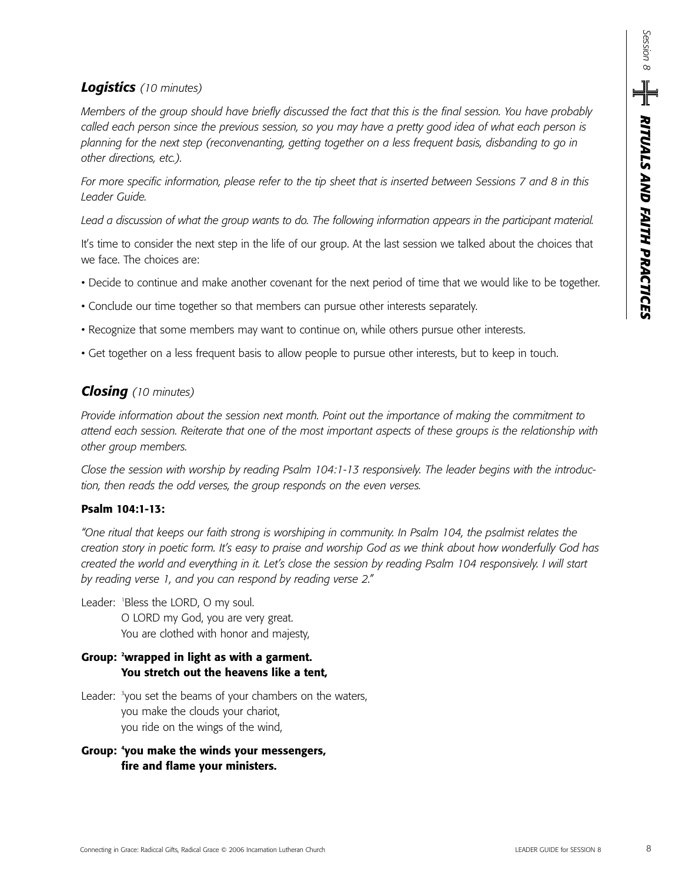## *Logistics (10 minutes)*

*Members of the group should have briefly discussed the fact that this is the final session. You have probably called each person since the previous session, so you may have a pretty good idea of what each person is planning for the next step (reconvenanting, getting together on a less frequent basis, disbanding to go in other directions, etc.).*

*For more specific information, please refer to the tip sheet that is inserted between Sessions 7 and 8 in this Leader Guide.*

*Lead a discussion of what the group wants to do. The following information appears in the participant material.*

It's time to consider the next step in the life of our group. At the last session we talked about the choices that we face. The choices are:

- Decide to continue and make another covenant for the next period of time that we would like to be together.
- Conclude our time together so that members can pursue other interests separately.
- Recognize that some members may want to continue on, while others pursue other interests.
- Get together on a less frequent basis to allow people to pursue other interests, but to keep in touch.

## *Closing (10 minutes)*

*Provide information about the session next month. Point out the importance of making the commitment to attend each session. Reiterate that one of the most important aspects of these groups is the relationship with other group members.* 

*Close the session with worship by reading Psalm 104:1-13 responsively. The leader begins with the introduction, then reads the odd verses, the group responds on the even verses.*

## **Psalm 104:1-13:**

*"One ritual that keeps our faith strong is worshiping in community. In Psalm 104, the psalmist relates the creation story in poetic form. It's easy to praise and worship God as we think about how wonderfully God has created the world and everything in it. Let's close the session by reading Psalm 104 responsively. I will start by reading verse 1, and you can respond by reading verse 2."* 

Leader: <sup>1</sup> Bless the LORD, O my soul. O LORD my God, you are very great. You are clothed with honor and majesty,

## **Group: 2 wrapped in light as with a garment. You stretch out the heavens like a tent,**

- Leader: <sup>3</sup>you set the beams of your chambers on the waters, you make the clouds your chariot, you ride on the wings of the wind,
- **Group: 4 you make the winds your messengers, fire and flame your ministers.**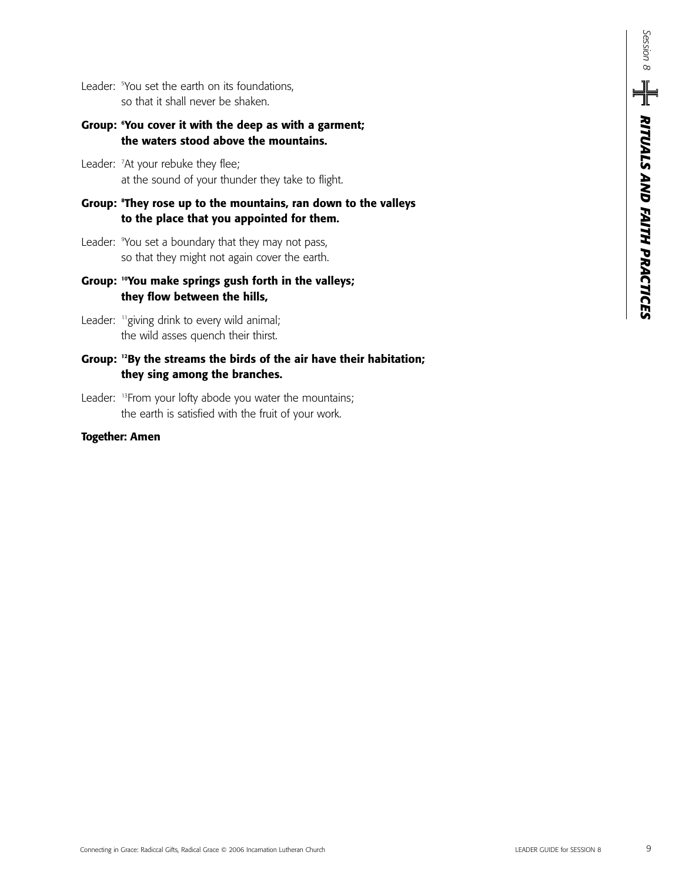*RITUALS AND FAITH PRACTICES Session 8*  $\mathsf{P}_{\mathsf{S}} = \frac{1}{\sqrt{2}}$  Rituals and faith practices

Leader: <sup>5</sup>You set the earth on its foundations, so that it shall never be shaken.

## **Group: 6 You cover it with the deep as with a garment; the waters stood above the mountains.**

- Leader: <sup>7</sup>At your rebuke they flee; at the sound of your thunder they take to flight.
- **Group: <sup>8</sup> They rose up to the mountains, ran down to the valleys to the place that you appointed for them.**
- Leader: <sup>9</sup> You set a boundary that they may not pass, so that they might not again cover the earth.
- **Group: 10You make springs gush forth in the valleys; they flow between the hills,**
- Leader: "giving drink to every wild animal; the wild asses quench their thirst.

## **Group: 12By the streams the birds of the air have their habitation; they sing among the branches.**

Leader: <sup>13</sup>From your lofty abode you water the mountains; the earth is satisfied with the fruit of your work.

### **Together: Amen**